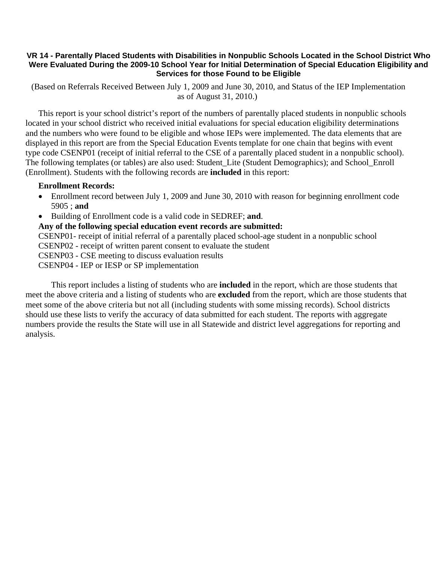## **VR 14 - Parentally Placed Students with Disabilities in Nonpublic Schools Located in the School District Who Were Evaluated During the 2009-10 School Year for Initial Determination of Special Education Eligibility and Services for those Found to be Eligible**

 (Based on Referrals Received Between July 1, 2009 and June 30, 2010, and Status of the IEP Implementation as of August 31, 2010.)

This report is your school district's report of the numbers of parentally placed students in nonpublic schools located in your school district who received initial evaluations for special education eligibility determinations and the numbers who were found to be eligible and whose IEPs were implemented. The data elements that are displayed in this report are from the Special Education Events template for one chain that begins with event type code CSENP01 (receipt of initial referral to the CSE of a parentally placed student in a nonpublic school). The following templates (or tables) are also used: Student\_Lite (Student Demographics); and School\_Enroll (Enrollment). Students with the following records are **included** in this report:

## **Enrollment Records:**

- Enrollment record between July 1, 2009 and June 30, 2010 with reason for beginning enrollment code 5905 ; **and**
- Building of Enrollment code is a valid code in SEDREF; **and**.

**Any of the following special education event records are submitted:** 

CSENP01- receipt of initial referral of a parentally placed school-age student in a nonpublic school

CSENP02 - receipt of written parent consent to evaluate the student

CSENP03 - CSE meeting to discuss evaluation results

CSENP04 - IEP or IESP or SP implementation

 This report includes a listing of students who are **included** in the report, which are those students that meet the above criteria and a listing of students who are **excluded** from the report, which are those students that meet some of the above criteria but not all (including students with some missing records). School districts should use these lists to verify the accuracy of data submitted for each student. The reports with aggregate numbers provide the results the State will use in all Statewide and district level aggregations for reporting and analysis.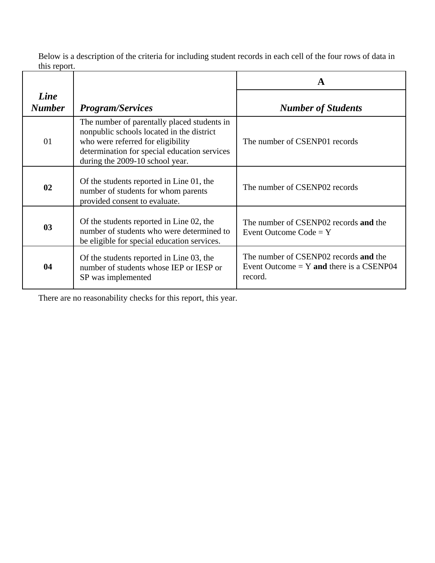Below is a description of the criteria for including student records in each cell of the four rows of data in this report.

|                       |                                                                                                                                                                                                                  | A                                                                                              |  |
|-----------------------|------------------------------------------------------------------------------------------------------------------------------------------------------------------------------------------------------------------|------------------------------------------------------------------------------------------------|--|
| Line<br><b>Number</b> | <b>Program/Services</b>                                                                                                                                                                                          | <b>Number of Students</b>                                                                      |  |
| 01                    | The number of parentally placed students in<br>nonpublic schools located in the district<br>who were referred for eligibility<br>determination for special education services<br>during the 2009-10 school year. | The number of CSENP01 records                                                                  |  |
| 02                    | Of the students reported in Line 01, the<br>number of students for whom parents<br>provided consent to evaluate.                                                                                                 | The number of CSENP02 records                                                                  |  |
| 0 <sub>3</sub>        | Of the students reported in Line 02, the<br>number of students who were determined to<br>be eligible for special education services.                                                                             | The number of CSENP02 records and the<br>Event Outcome $Code = Y$                              |  |
| 04                    | Of the students reported in Line 03, the<br>number of students whose IEP or IESP or<br>SP was implemented                                                                                                        | The number of CSENP02 records and the<br>Event Outcome $= Y$ and there is a CSENP04<br>record. |  |

There are no reasonability checks for this report, this year.